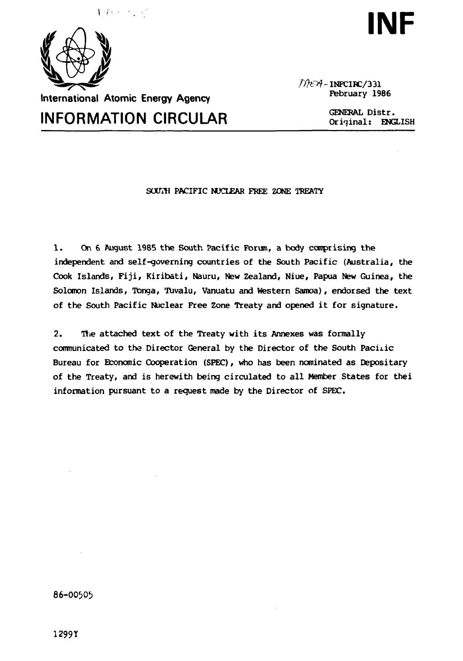



**/>?£>?-INFC1BC/331 February 1986** 

> **GENERAL Distr. Original: ENGLISH**

# **International Atomic Energy Agency INFORMATION CIRCULAR**

## SOUTH PACIFIC NUCLEAR FREE ZONE TREATY

**1. On 6 August 1985 the South Pacific Forum, a body comprising the independent and self-governing countries of the South Pacific (Australia, the Cook Islands, Fiji, Kiribati, Nauru, New Zealand, Niue, Papua New Guinea, the Solomon Islands, Tonga, Tuvalu, Vanuatu and Western Samoa), endorsed the text of the South Pacific Nuclear Free Zone Treaty and opened it for signature.** 

**2. The attached text of the Treaty with its Annexes was formally communicated to the Director General by the Director of the South Paciiic Bureau for Economic Cooperation (SPEC), who has been nominated as Depositary of the Treaty, and is herewith being circulated to all Member States for thei information pursuant to a request made by the Director of SPEC.** 

**86-OO505** 

**1299 Y**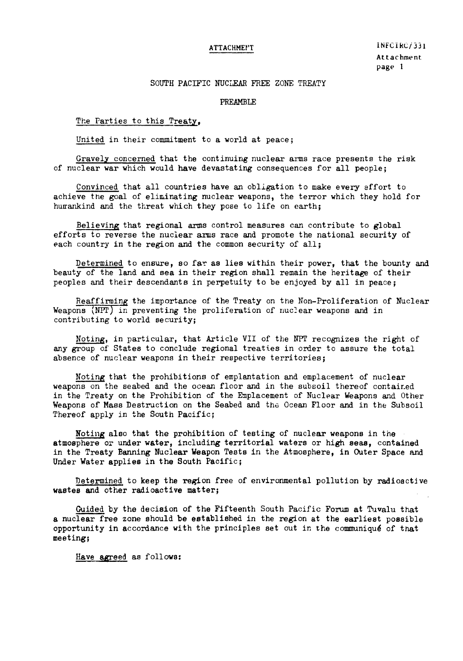### SOUTH PACIFIC NUCLEAR FREE ZONE TREATY

### PREAMBLE

### The Parties to this Treaty,

United in their commitment to a world at peace;

Gravely concerned that the continuing nuclear arms race presents the risk of nuclear war which would have devastating consequences for all people;

Convinced that all countries have an obligation to make every effort to achieve the goal of eliminating nuclear weapons, the terror which they hold for humankind and the threat which they pose to life on earth;

Believing that regional arms control measures can contribute to global efforts to reverse the nuclear arms race and promote the national security of each country in the region and the common security of all;

Determined to ensure, so far as lies within their power, that the bounty and beauty of the land and sea in their region shall remain the heritage of their peoples and their descendants in perpetuity to be enjoyed by all in peace;

Reaffirming the importance of the Treaty on the Non-Proliferation of Nuclear Weapons (NPT) in preventing the proliferation of nuclear weapons and in contributing to world security;

Noting, in particular, that Article VII of the NPT recognizes the right of any group of States to conclude regional treaties in order to assure the total absence of nuclear weapons in their respective territories;

Noting that the prohibitions of emplantation and emplacement of nuclear weapons on the seabed and the ocean floor and in the subsoil thereof contained in the Treaty on the Prohibition of the Emplacement of Nuclear Weapons and Other Weapons of Mass Destruction on the Seabed and the Ocean Floor and in the Subsoil Thereof apply in the South Pacific;

Noting also that the prohibition of testing of nuclear weapons in the atmosphere or under water, including territorial waters or high seas, contained in the Treaty Banning Nuclear Weapon Tests in the Atmosphere, in Outer Space and Under Water applies in the South Pacific;

Determined to keep the region free of environmental pollution by radioactive wastes and other radioactive matter;

Guided by the decision of the Fifteenth South Pacific Forum at Tuvalu that a nuclear free zone should be established in the region at the earliest possible opportunity in accordance with the principles set out in the communiqué of that meeting;

Have agreed as follows: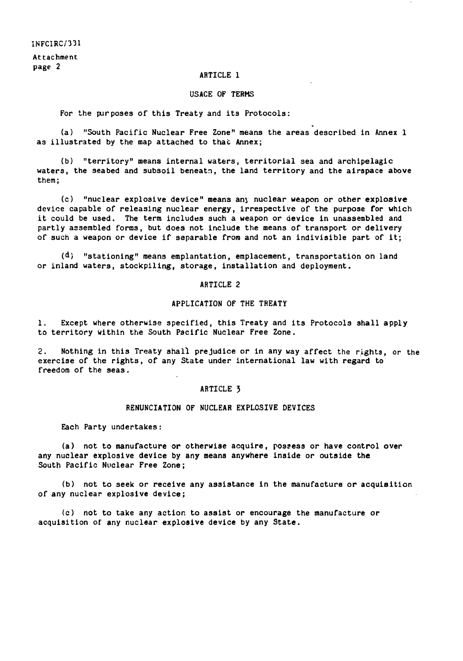**INFCIRC/331** 

**Attachment page 2** 

### ARTICLE 1

### **USACE OF TERMS**

For the purposes of this Treaty and its Protocols:

**(a) "South Pacific Nuclear Free Zone" means the areas described in Annex 1 as illustrated by the map attached to that Annex;** 

**(b) "territory" means internal waters, territorial sea and archipelagic waters, the seabed and subsoil beneatn, the land territory and the airspace above them;** 

**(c) "nuclear explosive device" means any nuclear weapon or other explosive device capable of releasing nuclear energy, irrespective of the purpose for which it could be used. The term includes such a weapon or device in unassembled and partly assembled forms, but does not include the means of transport or delivery of such a weapon or device if separable from and not an indivisible part of it;** 

**(d) "stationing" means emplantation, emplacement, transportation on land or inland waters, stockpiling, storage, installation and deployment.** 

### **ARTICLE 2**

### **APPLICATION OF THE TREATY**

**1. Except where otherwise specified, this Treaty and its Protocols shall apply to territory within the South Pacific Nuclear Free Zone.** 

**2. Nothing in this Treaty shall prejudice or in any way affect the rights, or the exercise of the rights, of any State under international law with regard to freedom of the seas.** 

### **ARTICLE 3**

### **RENUNCIATION OF NUCLEAR EXPLOSIVE DEVICES**

**Each Party undertakes:** 

**(a) not to manufacture or otherwise acquire, possess or have control over any nuclear explosive device by any means anywhere inside or outside the South Pacific Nuclear Free Zone;** 

**(b) not to seek or receive any assistance in the manufacture or acquisition of any nuclear explosive device;** 

**(c) not to take any action to assist or encourage the manufacture or acquisition of any nuclear explosive device by any State.**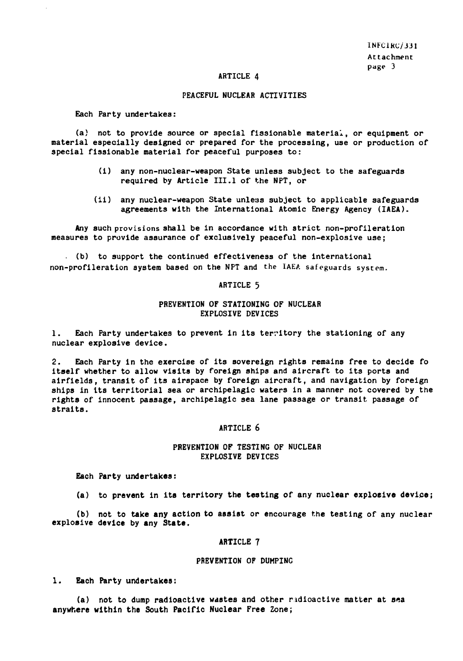### **ARTICLE 4**

### **PEACEFUL NUCLEAR ACTIVITIES**

**Each Party undertakes:** 

**(a) not to provide source or special fissionable material, or equipment or material especially designed or prepared for the processing, use or production of special fissionable material for peaceful purposes to:** 

- **(i) any non-nuclear-weapon State unless subject to the safeguards required by Article III.l of the NPT, or**
- **(ii) any nuclear-weapon State unless subject to applicable safeguards agreements with the International Atomic Energy Agency (IAEA).**

**Any such provisions shall be in accordance with strict non-profileration measures to provide assurance of exclusively peaceful non-explosive use;** 

**(b) to support the continued effectiveness of the international non-profileration system based on the NPT and the IAEA safeguards system.** 

### **ARTICLE 5**

### **PREVENTION OF STATIONING OF NUCLEAR EXPLOSIVE DEVICES**

**1. Each Party undertakes to prevent in its territory the stationing of any nuclear explosive device.** 

**2. Each Party in the exercise of its sovereign rights remains free to decide fo itself whether to allow visits by foreign ships and aircraft to its ports and airfields, transit of its airspace by foreign aircraft, and navigation by foreign ships in Its territorial sea or archipelagic waters in a manner not covered by the rights of innocent passage, archipelagic sea lane passage or transit passage of straits.** 

### **ARTICLE 6**

### **PREVENTION OF TESTING OF NUCLEAR EXPLOSIVE DEVICES**

**Each Party undertakes:** 

**(a) to prevent in its territory the testing of any nuclear explosive device;** 

**(b) not to take any action to assist or encourage the testing of any nuclear explosive device by any State.** 

### **ARTICLE 7**

### **PREVENTION OF DUMPING**

**1. Each Party undertakes:** 

**(a) not to dump radioactive wastes and other radioactive matter at sea anywhere within the South Pacific Nuclear Free Zone;**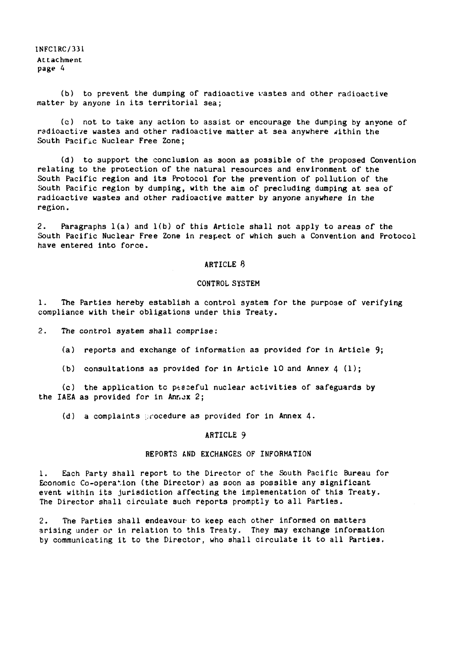**lNFCIRC/331 Attachment page 4** 

**(b) to prevent the dumping of radioactive vastes and other radioactive matter by anyone in its territorial sea;** 

**(c) not to take any action to assist or encourage the dumping by anyone of radioactive wastes and other radioactive matter at sea anywhere within the South Pacific Nuclear Free Zone;** 

**(d) to support the conclusion as soon as possible of the proposed Convention relating to the protection of the natural resources and environment of the South Pacific region and its Protocol for the prevention of pollution of the South Pacific region by dumping, with the aim of precluding dumping at sea of radioactive wastes and other radioactive matter by anyone anywhere in the region.** 

2. Paragraphs 1(a) and 1(b) of this Article shall not apply to areas of the **South Pacific Nuclear Free Zone in respect of which such a Convention and Protocol have entered into force.** 

### **ARTICLE 8**

### **CONTROL SYSTEM**

**1. The Parties hereby establish a control system for the purpose of verifying compliance with their obligations under this Treaty.** 

**2. The control system shall comprise:** 

- **(a) reports and exchange of information as provided for in Article 9;**
- **(b) consultations as provided for in Article 10 and Annex 4 (1);**

**(c) the application tc p-.sceful nuclear activities of safeguards by the IAEA as provided for in Anr.jx 2;** 

**(d) a complaints procedure as provided for in Annex 4.** 

### **ARTICLE 9**

### **REPORTS AND EXCHANGES OF INFORMATION**

**1. Each Party shall report to the Director of the South Pacific Bureau for**  Economic Co-operation (the Director) as soon as possible any significant **event within its jurisdiction affecting the implementation of this Treaty. The Director shall circulate such reports promptly to all Parties.** 

**2. The Parties shall endeavour- to keep each other informed on matters arising under or in relation to this Treaty. They may exchange information by communicating it to the Director, who shall circulate it to all Parties.**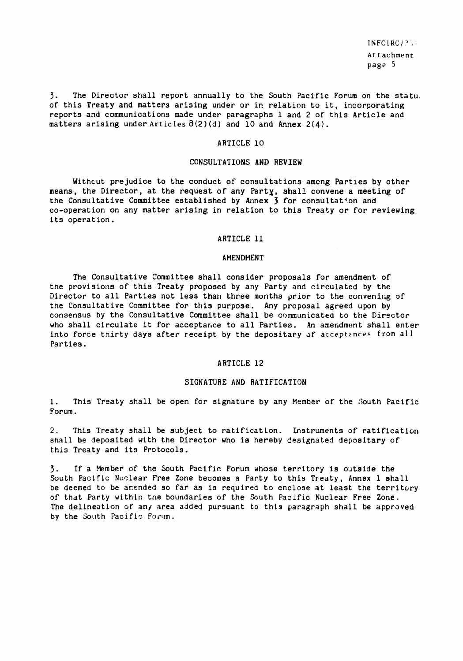INFCIRC/<sup>1</sup>'. Attachment page 5

. The Director shall report annually to the South Pacific Forum on the statu, of this Treaty and matters arising under or in relation to it, incorporating reports and communications made under paragraphs 1 and 2 of this Article and matters arising under Articles  $B(2)(d)$  and 10 and Annex 2(4).

### ARTICLE 10

### CONSULTATIONS AND REVIEW

Without prejudice to the conduct of consultations among Parties by other means, the Director, at the request of any Party, shall convene a meeting of the Consultative Committee established by Annex 3 for consultation and co-operation on any matter arising in relation to this Treaty or for reviewing its operation.

### ARTICLE 11

### AMENDMENT

The Consultative Committee shall consider proposals for amendment of the provisions of this Treaty proposed by any Party and circulated by the Director to all Parties not less than three months prior to the convening of the Consultative Committee for this purpose. Any proposal agreed upon by consensus by the Consultative Committee shall be communicated to the Dirsctor who shall circulate it for acceptance to all Parties. An amendment shall enter into force thirty days after receipt by the depositary of acceptances from al1 Parties.

### ARTICLE 12

### SIGNATURE AND RATIFICATION

1. This Treaty shall be open for signature by any Member of the South Pacific Forum.

2. This Treaty shall be subject to ratification. Instruments of ratification shall be deposited with the Director who is hereby designated depositary of this Treaty and its Protocols.

3. If a Member of the South Pacific Forum whose territory is outside the South Pacific Nuclear Free Zone becomes a Party to this Treaty, Annex 1 shall be deemed to be amended so far as is required to enclose at least the territory of that Party within the boundaries of the South Pacific Nuclear Free Zone. The delineation of any area added pursuant to this paragraph shall be approved by the South Pacific Forum.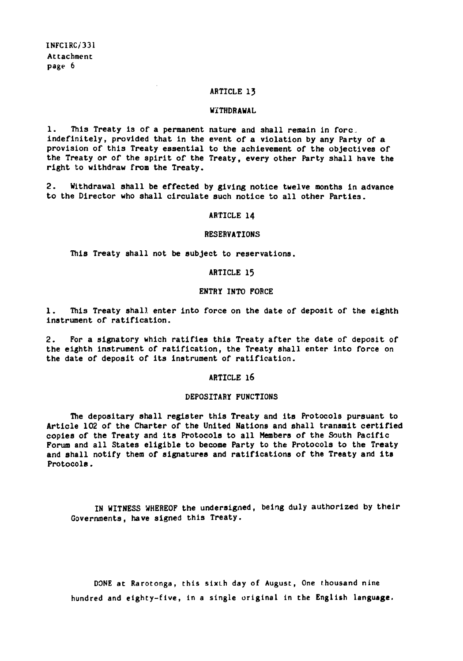**INFCIRC/331 Attachment page 6** 

### **ARTICLE 13**

### **WITHDRAWAL**

**1. This Treaty is of a permanent nature and shall remain in fore, indefinitely, provided that in the event of a violation by any Party of a provision of this Treaty essential to the achievement of the objectives of the Treaty or of the spirit of the Treaty, every other Party shall have the right to withdraw from the Treaty.** 

**2. Withdrawal shall be effected by giving notice twelve months in advance to the Director who shall circulate such notice to all other Parties.** 

### **ARTICLE 14**

### **RESERVATIONS**

**This Treaty shall not be subject to reservations.** 

### **ARTICLE 15**

### **ENTRY. INTO FORCE**

**1. This Treaty shall enter into force on the date of deposit of the eighth instrument of ratification.** 

**2. For a signatory which ratifies this Treaty after the date of deposit of the eighth instrument of ratification, the Treaty shall enter into force on the date of deposit of its instrument of ratification.** 

### **ARTICLE 16**

### **DEPOSITARY FUNCTIONS**

**The depositary shall register this Treaty and its Protocols pursuant to Article 102 of the Charter of the United Nations and shall transmit certified copies of the Treaty and its Protocols to all Members of the South Pacific Forum and all States eligible to become Party to the Protocols to the Treaty and shall notify them of signatures and ratifications of the Treaty and its Protocols.** 

**IN WITNESS WHEREOF the undersigned, being duly authorized by their Governments, have signed this Treaty.** 

**DONE at Rarotonga, this sixth day of August, One thousand nine hundred and eighty-five, in a single original in the English language.**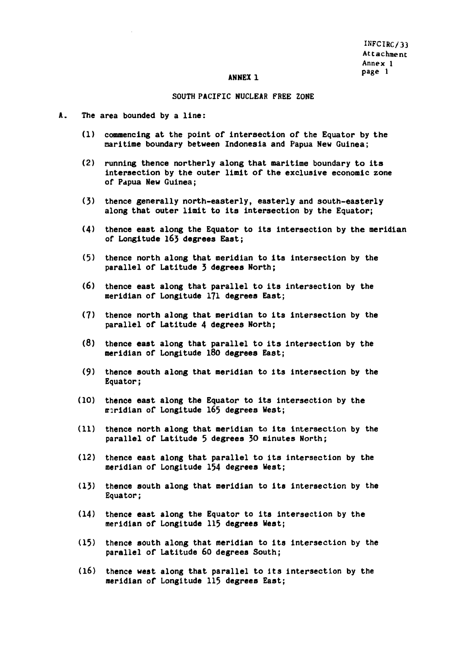### **ANNEX 1***<sup>v</sup>***<sup>6</sup>**

### **SOUTH PACIFIC NUCLEAR FREE ZONE**

- **A. The area bounded by a line:** 
	- **commencing at the point of intersection of the Equator by the maritime boundary between Indonesia and Papua New Guinea;**
	- **running thence northerly along that maritime boundary to its intersection by the outer limit of the exclusive economic zone of Papua New Guinea;**
	- **thence generally north-easterly, easterly and south-easterly along that outer limit to its intersection by the Equator;**
	- **thence east along the Equator to its intersection by the meridian of Longitude 163 degrees East;**
	- $(5)$ **thence north along that meridian to its intersection by the parallel of Latitude 3 degrees North;**
	- **thence east along that parallel to its intersection by the meridian of Longitude 171 degrees East;**
	- **thence north along that meridian to its intersection by the parallel of Latitude 4 degrees North;**
	- **thence east along that parallel to its intersection by the meridian of Longitude l80 degrees East;**
	- **thence south along that meridian to its intersection by the Equator ;**
	- **thence east along the Equator to its intersection by the m-ridian of Longitude 165 degrees West;**
	- **thence north along that meridian to its intersection by the parallel of Latitude 5 degrees 30 minutes North;**
	- **thence east along that parallel to its intersection by the meridian of Longitude 134 degrees West;**
	- **thence south along that meridian to its intersection by the Equator ;**
	- **thence east along the Equator to its intersection by the meridian of Longitude 113 degrees West;**
	- **thence south along that meridian to its intersection by the parallel of Latitude 60 degrees South;**
	- **(16 thence west along that parallel to Its intersection by the meridian of Longitude 113 degrees East;**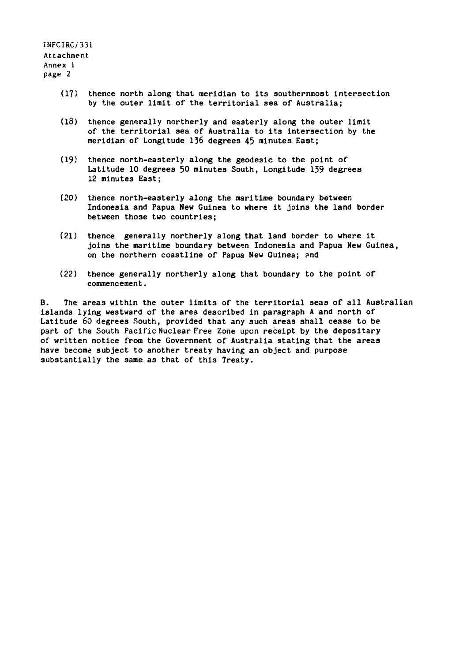**INFCIRC/331 Attachment Annex 1 page 2** 

- **(17Î thence north along that meridian to its southernmost intersection by the outer limit of the territorial sea of Australia;**
- **(18) thence generally northerly and easterly along the outer limit of the territorial sea of Australia to its intersection by the meridian of Longitude 136 degrees 45 minutes East;**
- **(19) thence north-easterly along the geodesic to the point of Latitude 10 degrees 50 minutes South, Longitude 139 degrees 12 minutes East;**
- **(20) thence north-easterly along the maritime boundary between Indonesia and Papua New Guinea to where it joins the land border between those two countries;**
- **(21) thence generally northerly along that land border to where it joins the maritime boundary between Indonesia and Papua New Guinea,**  on the northern coastline of Papua New Guinea; and
- **(22) thence generally northerly along that boundary to the point of commencement.**

**B. The areas within the outer limits of the territorial seas of all Australian islands lying westward of the area described in paragraph A and north of Latitude 60 degrees South, provided that any such areas shall cease to be part of the South Pacific Nuclear Free Zone upon receipt by the depositary of written notice from the Government of Australia stating that the areas have become subject to another treaty having an object and purpose substantially the same as that of this Treaty.**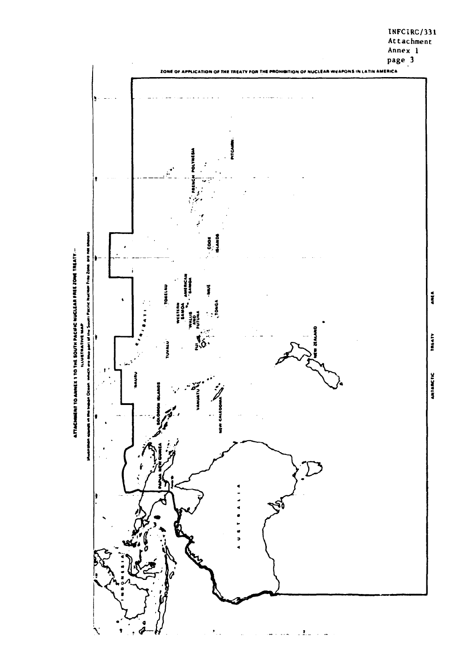

# ATTACHMENT TO ANNEX 1 TO THE SOUTH PACIFIC NUCLEAR FREE ZONE TREATY .-

ANEA

**INFCIRC/331 Attachment Annex 1** 

TREATY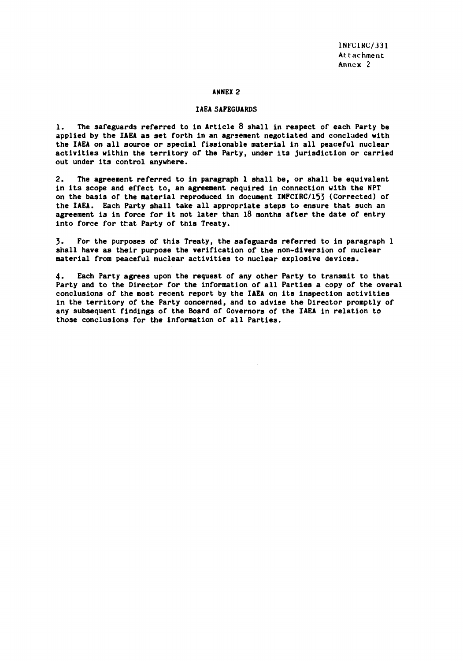**1NFC1KC/J31 Attachment Annex 2** 

### **ANNEX 2**

### **IAEA SAFEGUARDS**

**1. The safeguards referred to in Article 8 shall in respect of each Party be**  applied by the IAEA as set forth in an agreement negotiated and concluded with **the IAEA on all source or special fissionable material in all peaceful nuclear activities within the territory of the Party, under its jurisdiction or carried out under its control anywhere.** 

**2. The agreement referred to in paragraph 1 shall be, or shall be equivalent in its scope and effect to, an agreement required in connection with the NPT on the basis of the material reproduced in document INFCIRC/153 (Corrected) of the IAEA. Each Party shall take all appropriate steps to ensure that such an agreement is in force for it not later than 18 months after the date of entry into force for that Party of this Treaty.** 

**5. For the purposes of this Treaty, the safeguards referred to in paragraph 1 shall have as their purpose the verification of the non-diversion of nuclear material from peaceful nuclear activities to nuclear explosive devices.** 

**4. Each Party agrees upon the request of any other Party to transmit to that Party and to the Director for the information of all Parties a copy of the overal conclusions of the most recent report by the IAEA on its inspection activities in the territory of the Party concerned, and to advise the Director promptly of any subsequent findings of the Board of Governors of the IAEA in relation to those conclusions for the information of all Parties.**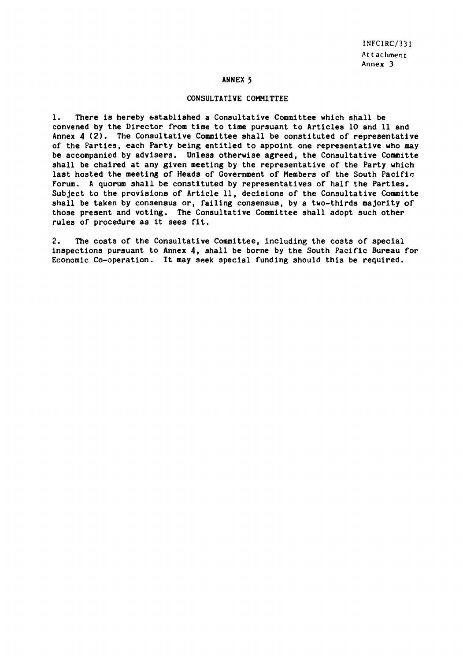### **ANNEX 3**

### **CONSULTATIVE COMMITTEE**

**1. There is hereby established a Consultative Committee which shall be convened by the Director from time to time pursuant to Articles 10 and 11 and Annex 4 (2). The Consultative Committee shall be constituted of representative of the Parties, each Party being entitled to appoint one representative who may be accompanied by advisers. Unless otherwise agreed, the Consultative Committe shall be chaired at any given meeting by the representative of the Party which last hosted the meeting of Heads of Government of Members of the South Pacific Forum. A quorum shall be constituted by representatives of half the Parties. Subject to the provisions of Article 11, decisions of the Consultative Committe shall be taken by consensus or, failing consensus, by a two-thirds majority of those present and voting. The Consultative Committee shall adopt such other rules of procedure as it sees fit.** 

**2. The costs of the Consultative Committee, including the costs of special inspections pursuant to Annex 4, shall be borne by the South Pacific Bureau for Economic Co-operation. It may seek special funding should this be required.**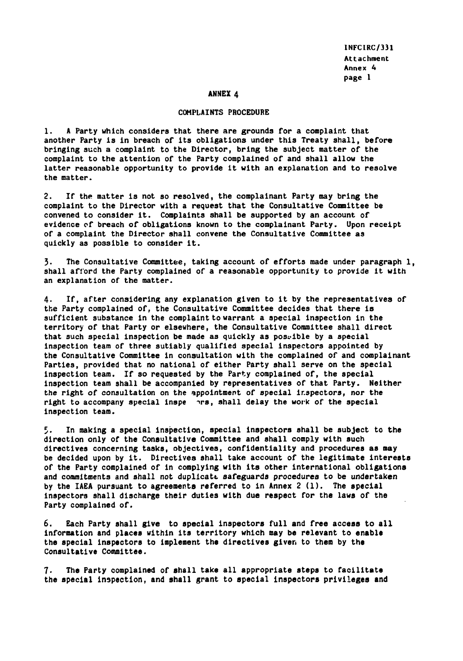**INFCIRC/331 Attachment Annex 4 page I** 

### **ANNEX 4**

### **COMPLAINTS PROCEDURE**

**1. A Party which considers that there are grounds for a complaint that another Party is in breach of its obligations under this Treaty shall, before bringing such a complaint to the Director, bring the subject matter of the complaint to the attention of the Party complained of and shall allow the latter reasonable opportunity to provide it with an explanation and to resolve the matter.** 

**2. If the matter is not so resolved, the complainant Party may bring the complaint to the Director with a request that the Consultative Committee be convened to consider it. Complaints shall be supported by an account of evidence of breach of obligations known to the complainant Party. Upon receipt of a complaint the Director shall convene the Consultative Committee as quickly as possible to consider it.** 

**3. The Consultative Committee, taking account of efforts made under paragraph 1, shall afford the Party complained of a reasonable opportunity to provide it with an explanation of the matter.** 

**4. If, after considering any explanation given to it by the representatives of the Party complained of, the Consultative Committee decides that there is sufficient substance in the complaint to warrant a special inspection in the territory of that Party or elsewhere, the Consultative Committee shall direct that such special inspection be made as quickly as possible by a special inspection team of three sutiably qualified special inspectors appointed by the Consultative Committee in consultation with the complained of and complainant Parties, provided that no national of either Party shall serve on the special inspection team. If so requested by the Party complained of, the special inspection team shall be accompanied by representatives of that Party. Neither the right of consultation on the appointment of special inspectors, nor the**  right to accompany special inspe **ens**, shall delay the work of the special **inspection team.** 

**5. In making a special Inspection, special inspectors shall be subject to the direction only of the Consultative Committee and shall comply with such directives concerning tasks, objectives, confidentiality and procedures as may be decided upon by it. Directives shall take account of the legitimate interests of the Party complained of in complying with its other international obligations and commitments and shall not duplicate safeguards procedures to be undertaken by the IAEA pursuant to agreements referred to in Annex 2 (1). The special inspectors shall discharge their duties with due respect for the laws of the Party complained of.** 

**6. Each Party shall give to special inspectors full and free access to all information and places within its territory which may be relevant to enable the special inspectors to implement the directives given to them by the Consultative Committee.** 

**7• The Party complained of shall take all appropriate steps to facilitate the special inspection, and shall grant to special inspectors privileges and**